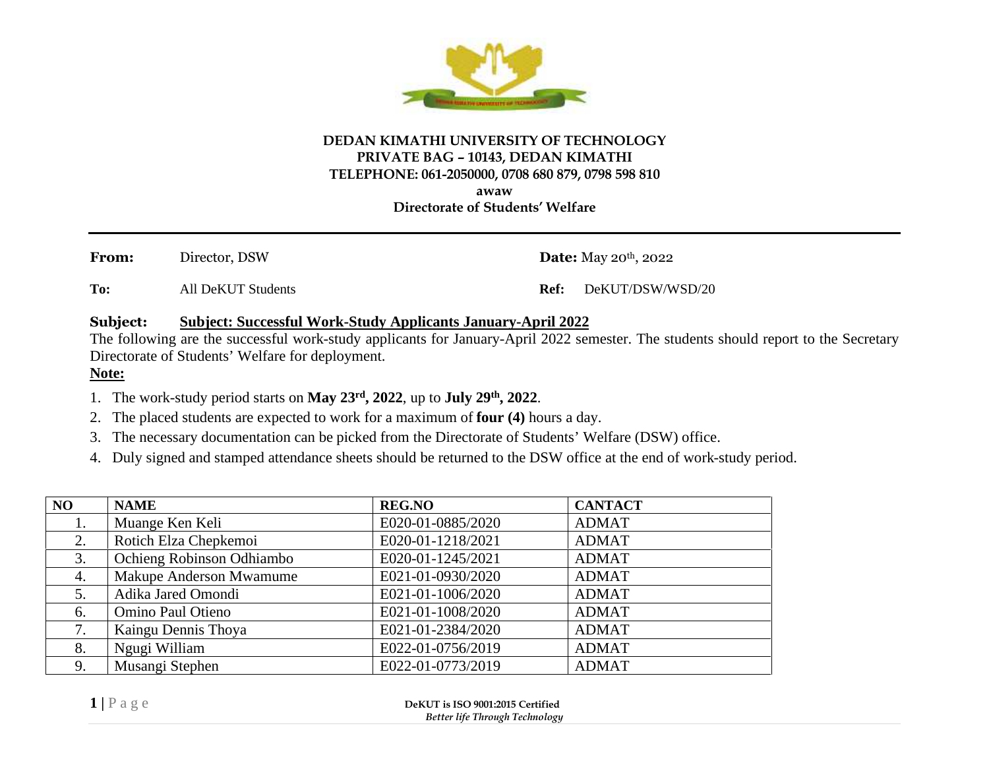

## **DEDAN KIMATHI UNIVERSITY OF TECHNOLOGY PRIVATE BAG – 10143, DEDAN KIMATHI TELEPHONE: 061-2050000, 0708 680 879, 0798 598 810 awaw**

**Directorate of Students' Welfare**

From: Director, DSW **Date:** May 20<sup>th</sup>, 2022

**To:** All DeKUT Students **Ref:** DeKUT/DSW/WSD/20

## **Subject: Subject: Successful Work-Study Applicants January-April 2022**

The following are the successful work-study applicants for January-April 2022 semester. The students should report to the Secretary Directorate of Students' Welfare for deployment.

## **Note:**

- 1. The work-study period starts on **May 23rd, 2022**, up to **July 29th, 2022**.
- 2. The placed students are expected to work for a maximum of **four (4)** hours a day.
- 3. The necessary documentation can be picked from the Directorate of Students' Welfare (DSW) office.
- 4. Duly signed and stamped attendance sheets should be returned to the DSW office at the end of work-study period.

| NO         | <b>NAME</b>               | <b>REG.NO</b>                                                      | <b>CANTACT</b> |
|------------|---------------------------|--------------------------------------------------------------------|----------------|
| 1.         | Muange Ken Keli           | E020-01-0885/2020                                                  | <b>ADMAT</b>   |
| 2.         | Rotich Elza Chepkemoi     | E020-01-1218/2021                                                  | <b>ADMAT</b>   |
| 3.         | Ochieng Robinson Odhiambo | E020-01-1245/2021                                                  | <b>ADMAT</b>   |
| 4.         | Makupe Anderson Mwamume   | E021-01-0930/2020                                                  | <b>ADMAT</b>   |
| 5.         | Adika Jared Omondi        | E021-01-1006/2020                                                  | <b>ADMAT</b>   |
| 6.         | Omino Paul Otieno         | E021-01-1008/2020                                                  | <b>ADMAT</b>   |
| 7.         | Kaingu Dennis Thoya       | E021-01-2384/2020                                                  | <b>ADMAT</b>   |
| 8.         | Ngugi William             | E022-01-0756/2019                                                  | <b>ADMAT</b>   |
| 9.         | Musangi Stephen           | E022-01-0773/2019                                                  | <b>ADMAT</b>   |
| $1$   Page |                           | DeKUT is ISO 9001:2015 Certified<br>Better life Through Technology |                |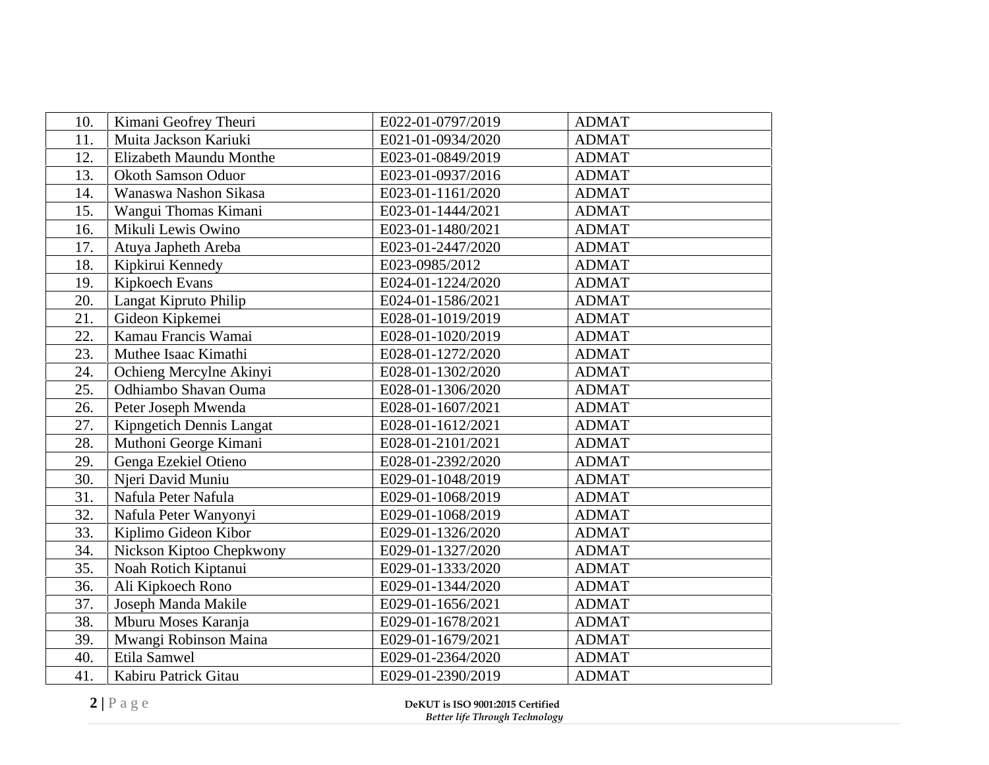| 10.                                                                          | Kimani Geofrey Theuri     | E022-01-0797/2019 | <b>ADMAT</b> |  |
|------------------------------------------------------------------------------|---------------------------|-------------------|--------------|--|
| 11.                                                                          | Muita Jackson Kariuki     | E021-01-0934/2020 | <b>ADMAT</b> |  |
| 12.                                                                          | Elizabeth Maundu Monthe   | E023-01-0849/2019 | <b>ADMAT</b> |  |
| 13.                                                                          | <b>Okoth Samson Oduor</b> | E023-01-0937/2016 | <b>ADMAT</b> |  |
| 14.                                                                          | Wanaswa Nashon Sikasa     | E023-01-1161/2020 | <b>ADMAT</b> |  |
| 15.                                                                          | Wangui Thomas Kimani      | E023-01-1444/2021 | <b>ADMAT</b> |  |
| 16.                                                                          | Mikuli Lewis Owino        | E023-01-1480/2021 | <b>ADMAT</b> |  |
| 17.                                                                          | Atuya Japheth Areba       | E023-01-2447/2020 | <b>ADMAT</b> |  |
| 18.                                                                          | Kipkirui Kennedy          | E023-0985/2012    | <b>ADMAT</b> |  |
| 19.                                                                          | Kipkoech Evans            | E024-01-1224/2020 | <b>ADMAT</b> |  |
| 20.                                                                          | Langat Kipruto Philip     | E024-01-1586/2021 | <b>ADMAT</b> |  |
| 21.                                                                          | Gideon Kipkemei           | E028-01-1019/2019 | <b>ADMAT</b> |  |
| 22.                                                                          | Kamau Francis Wamai       | E028-01-1020/2019 | <b>ADMAT</b> |  |
| 23.                                                                          | Muthee Isaac Kimathi      | E028-01-1272/2020 | <b>ADMAT</b> |  |
| 24.                                                                          | Ochieng Mercylne Akinyi   | E028-01-1302/2020 | <b>ADMAT</b> |  |
| 25.                                                                          | Odhiambo Shavan Ouma      | E028-01-1306/2020 | <b>ADMAT</b> |  |
| 26.                                                                          | Peter Joseph Mwenda       | E028-01-1607/2021 | <b>ADMAT</b> |  |
| 27.                                                                          | Kipngetich Dennis Langat  | E028-01-1612/2021 | <b>ADMAT</b> |  |
| 28.                                                                          | Muthoni George Kimani     | E028-01-2101/2021 | <b>ADMAT</b> |  |
| 29.                                                                          | Genga Ezekiel Otieno      | E028-01-2392/2020 | <b>ADMAT</b> |  |
| 30.                                                                          | Njeri David Muniu         | E029-01-1048/2019 | <b>ADMAT</b> |  |
| 31.                                                                          | Nafula Peter Nafula       | E029-01-1068/2019 | <b>ADMAT</b> |  |
| 32.                                                                          | Nafula Peter Wanyonyi     | E029-01-1068/2019 | <b>ADMAT</b> |  |
| 33.                                                                          | Kiplimo Gideon Kibor      | E029-01-1326/2020 | <b>ADMAT</b> |  |
| 34.                                                                          | Nickson Kiptoo Chepkwony  | E029-01-1327/2020 | <b>ADMAT</b> |  |
| 35.                                                                          | Noah Rotich Kiptanui      | E029-01-1333/2020 | <b>ADMAT</b> |  |
| 36.                                                                          | Ali Kipkoech Rono         | E029-01-1344/2020 | <b>ADMAT</b> |  |
| 37.                                                                          | Joseph Manda Makile       | E029-01-1656/2021 | <b>ADMAT</b> |  |
| 38.                                                                          | Mburu Moses Karanja       | E029-01-1678/2021 | <b>ADMAT</b> |  |
| 39.                                                                          | Mwangi Robinson Maina     | E029-01-1679/2021 | <b>ADMAT</b> |  |
| 40.                                                                          | Etila Samwel              | E029-01-2364/2020 | <b>ADMAT</b> |  |
| 41.                                                                          | Kabiru Patrick Gitau      | E029-01-2390/2019 | <b>ADMAT</b> |  |
| 2 Page<br>DeKUT is ISO 9001:2015 Certified<br>Better life Through Technology |                           |                   |              |  |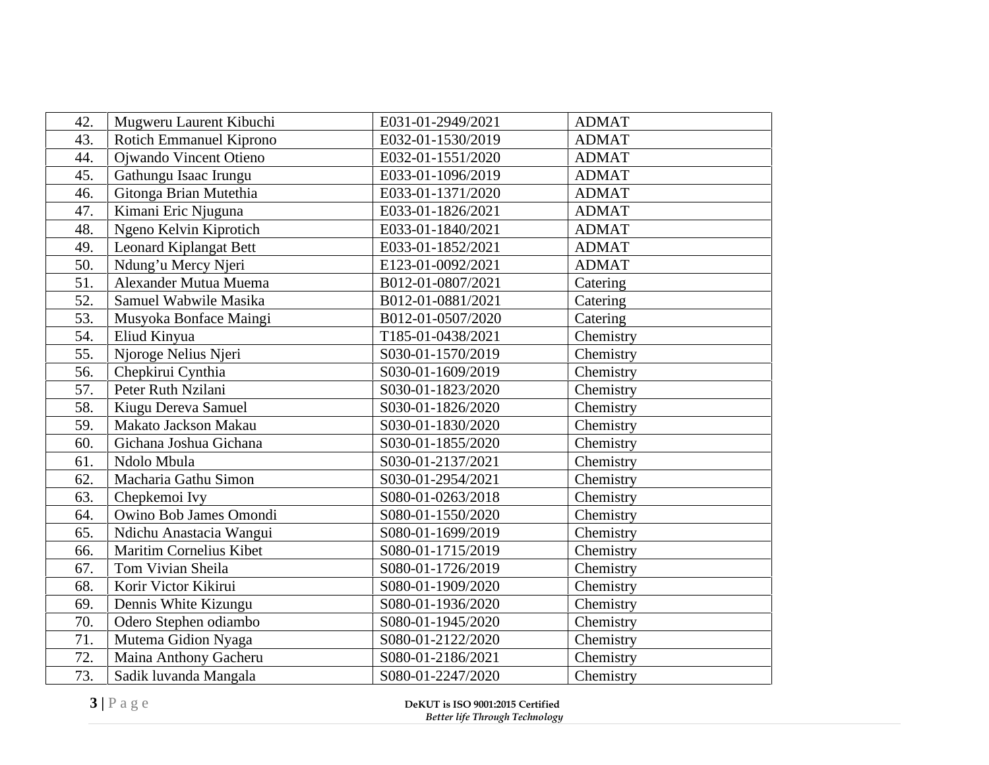| 42. | Mugweru Laurent Kibuchi                                                      | E031-01-2949/2021 | <b>ADMAT</b> |
|-----|------------------------------------------------------------------------------|-------------------|--------------|
| 43. | <b>Rotich Emmanuel Kiprono</b>                                               | E032-01-1530/2019 | <b>ADMAT</b> |
| 44. | Ojwando Vincent Otieno                                                       | E032-01-1551/2020 | <b>ADMAT</b> |
| 45. | Gathungu Isaac Irungu                                                        | E033-01-1096/2019 | <b>ADMAT</b> |
| 46. | Gitonga Brian Mutethia                                                       | E033-01-1371/2020 | <b>ADMAT</b> |
| 47. | Kimani Eric Njuguna                                                          | E033-01-1826/2021 | <b>ADMAT</b> |
| 48. | Ngeno Kelvin Kiprotich                                                       | E033-01-1840/2021 | <b>ADMAT</b> |
| 49. | <b>Leonard Kiplangat Bett</b>                                                | E033-01-1852/2021 | <b>ADMAT</b> |
| 50. | Ndung'u Mercy Njeri                                                          | E123-01-0092/2021 | <b>ADMAT</b> |
| 51. | Alexander Mutua Muema                                                        | B012-01-0807/2021 | Catering     |
| 52. | Samuel Wabwile Masika                                                        | B012-01-0881/2021 | Catering     |
| 53. | Musyoka Bonface Maingi                                                       | B012-01-0507/2020 | Catering     |
| 54. | Eliud Kinyua                                                                 | T185-01-0438/2021 | Chemistry    |
| 55. | Njoroge Nelius Njeri                                                         | S030-01-1570/2019 | Chemistry    |
| 56. | Chepkirui Cynthia                                                            | S030-01-1609/2019 | Chemistry    |
| 57. | Peter Ruth Nzilani                                                           | S030-01-1823/2020 | Chemistry    |
| 58. | Kiugu Dereva Samuel                                                          | S030-01-1826/2020 | Chemistry    |
| 59. | Makato Jackson Makau                                                         | S030-01-1830/2020 | Chemistry    |
| 60. | Gichana Joshua Gichana                                                       | S030-01-1855/2020 | Chemistry    |
| 61. | Ndolo Mbula                                                                  | S030-01-2137/2021 | Chemistry    |
| 62. | Macharia Gathu Simon                                                         | S030-01-2954/2021 | Chemistry    |
| 63. | Chepkemoi Ivy                                                                | S080-01-0263/2018 | Chemistry    |
| 64. | Owino Bob James Omondi                                                       | S080-01-1550/2020 | Chemistry    |
| 65. | Ndichu Anastacia Wangui                                                      | S080-01-1699/2019 | Chemistry    |
| 66. | Maritim Cornelius Kibet                                                      | S080-01-1715/2019 | Chemistry    |
| 67. | Tom Vivian Sheila                                                            | S080-01-1726/2019 | Chemistry    |
| 68. | Korir Victor Kikirui                                                         | S080-01-1909/2020 | Chemistry    |
| 69. | Dennis White Kizungu                                                         | S080-01-1936/2020 | Chemistry    |
| 70. | Odero Stephen odiambo                                                        | S080-01-1945/2020 | Chemistry    |
| 71. | Mutema Gidion Nyaga                                                          | S080-01-2122/2020 | Chemistry    |
| 72. | Maina Anthony Gacheru                                                        | S080-01-2186/2021 | Chemistry    |
| 73. | Sadik luvanda Mangala                                                        | S080-01-2247/2020 | Chemistry    |
|     | 3 Page<br>DeKUT is ISO 9001:2015 Certified<br>Better life Through Technology |                   |              |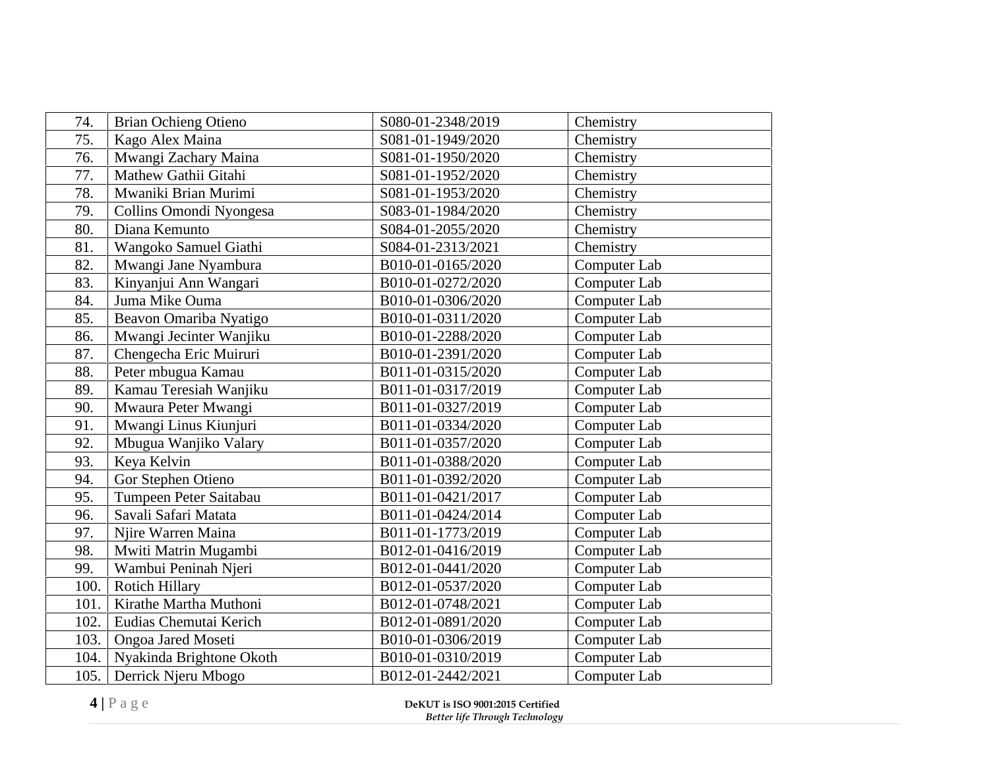| 74.                                                                             | <b>Brian Ochieng Otieno</b> | S080-01-2348/2019 | Chemistry    |
|---------------------------------------------------------------------------------|-----------------------------|-------------------|--------------|
| 75.                                                                             | Kago Alex Maina             | S081-01-1949/2020 | Chemistry    |
| 76.                                                                             | Mwangi Zachary Maina        | S081-01-1950/2020 | Chemistry    |
| 77.                                                                             | Mathew Gathii Gitahi        | S081-01-1952/2020 | Chemistry    |
| 78.                                                                             | Mwaniki Brian Murimi        | S081-01-1953/2020 | Chemistry    |
| 79.                                                                             | Collins Omondi Nyongesa     | S083-01-1984/2020 | Chemistry    |
| 80.                                                                             | Diana Kemunto               | S084-01-2055/2020 | Chemistry    |
| 81.                                                                             | Wangoko Samuel Giathi       | S084-01-2313/2021 | Chemistry    |
| 82.                                                                             | Mwangi Jane Nyambura        | B010-01-0165/2020 | Computer Lab |
| 83.                                                                             | Kinyanjui Ann Wangari       | B010-01-0272/2020 | Computer Lab |
| 84.                                                                             | Juma Mike Ouma              | B010-01-0306/2020 | Computer Lab |
| 85.                                                                             | Beavon Omariba Nyatigo      | B010-01-0311/2020 | Computer Lab |
| 86.                                                                             | Mwangi Jecinter Wanjiku     | B010-01-2288/2020 | Computer Lab |
| 87.                                                                             | Chengecha Eric Muiruri      | B010-01-2391/2020 | Computer Lab |
| 88.                                                                             | Peter mbugua Kamau          | B011-01-0315/2020 | Computer Lab |
| 89.                                                                             | Kamau Teresiah Wanjiku      | B011-01-0317/2019 | Computer Lab |
| 90.                                                                             | Mwaura Peter Mwangi         | B011-01-0327/2019 | Computer Lab |
| 91.                                                                             | Mwangi Linus Kiunjuri       | B011-01-0334/2020 | Computer Lab |
| 92.                                                                             | Mbugua Wanjiko Valary       | B011-01-0357/2020 | Computer Lab |
| 93.                                                                             | Keya Kelvin                 | B011-01-0388/2020 | Computer Lab |
| 94.                                                                             | Gor Stephen Otieno          | B011-01-0392/2020 | Computer Lab |
| 95.                                                                             | Tumpeen Peter Saitabau      | B011-01-0421/2017 | Computer Lab |
| 96.                                                                             | Savali Safari Matata        | B011-01-0424/2014 | Computer Lab |
| 97.                                                                             | Njire Warren Maina          | B011-01-1773/2019 | Computer Lab |
| 98.                                                                             | Mwiti Matrin Mugambi        | B012-01-0416/2019 | Computer Lab |
| 99.                                                                             | Wambui Peninah Njeri        | B012-01-0441/2020 | Computer Lab |
| 100.                                                                            | <b>Rotich Hillary</b>       | B012-01-0537/2020 | Computer Lab |
| 101.                                                                            | Kirathe Martha Muthoni      | B012-01-0748/2021 | Computer Lab |
| 102.                                                                            | Eudias Chemutai Kerich      | B012-01-0891/2020 | Computer Lab |
| 103.                                                                            | Ongoa Jared Moseti          | B010-01-0306/2019 | Computer Lab |
| 104.                                                                            | Nyakinda Brightone Okoth    | B010-01-0310/2019 | Computer Lab |
| 105.                                                                            | Derrick Njeru Mbogo         | B012-01-2442/2021 | Computer Lab |
| $4 P$ age<br>DeKUT is ISO 9001:2015 Certified<br>Better life Through Technology |                             |                   |              |
|                                                                                 |                             |                   |              |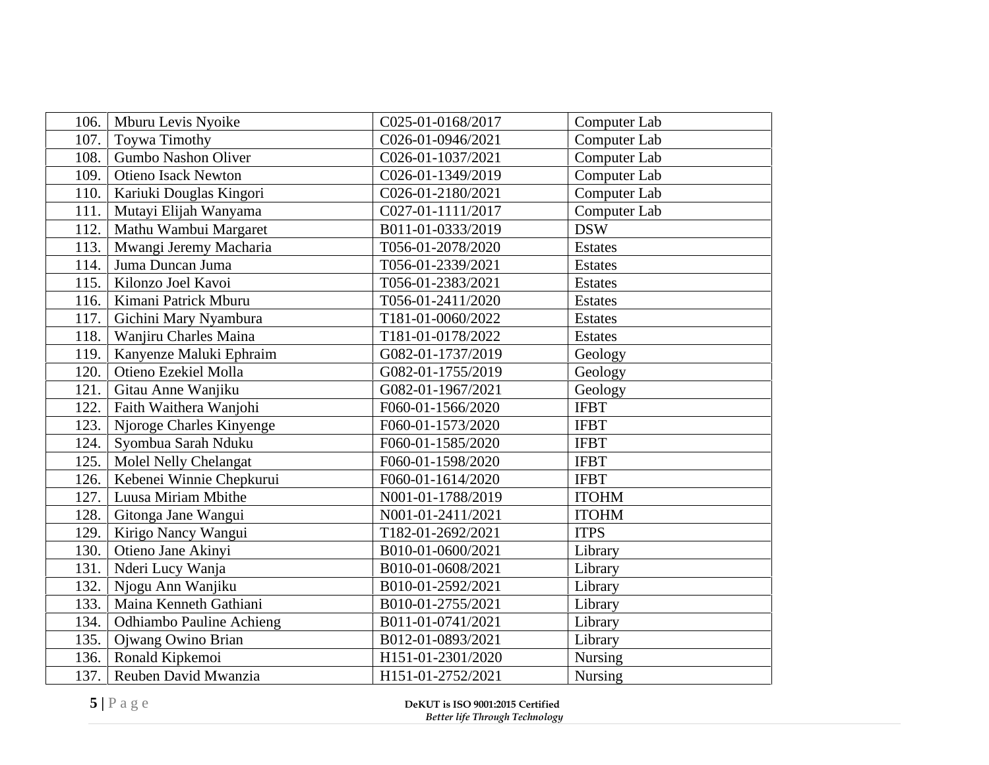| Mburu Levis Nyoike<br>106.         | C025-01-0168/2017                                                  | Computer Lab   |
|------------------------------------|--------------------------------------------------------------------|----------------|
| 107.<br>Toywa Timothy              | C026-01-0946/2021                                                  | Computer Lab   |
| Gumbo Nashon Oliver<br>108.        | C026-01-1037/2021                                                  | Computer Lab   |
| <b>Otieno Isack Newton</b><br>109. | C026-01-1349/2019                                                  | Computer Lab   |
| 110.<br>Kariuki Douglas Kingori    | C026-01-2180/2021                                                  | Computer Lab   |
| 111.<br>Mutayi Elijah Wanyama      | C027-01-1111/2017                                                  | Computer Lab   |
| 112.<br>Mathu Wambui Margaret      | B011-01-0333/2019                                                  | <b>DSW</b>     |
| Mwangi Jeremy Macharia<br>113.     | T056-01-2078/2020                                                  | <b>Estates</b> |
| Juma Duncan Juma<br>114.           | T056-01-2339/2021                                                  | <b>Estates</b> |
| Kilonzo Joel Kavoi<br>115.         | T056-01-2383/2021                                                  | <b>Estates</b> |
| Kimani Patrick Mburu<br>116.       | T056-01-2411/2020                                                  | <b>Estates</b> |
| 117.<br>Gichini Mary Nyambura      | T181-01-0060/2022                                                  | <b>Estates</b> |
| Wanjiru Charles Maina<br>118.      | T181-01-0178/2022                                                  | <b>Estates</b> |
| Kanyenze Maluki Ephraim<br>119.    | G082-01-1737/2019                                                  | Geology        |
| Otieno Ezekiel Molla<br>120.       | G082-01-1755/2019                                                  | Geology        |
| 121.<br>Gitau Anne Wanjiku         | G082-01-1967/2021                                                  | Geology        |
| Faith Waithera Wanjohi<br>122.     | F060-01-1566/2020                                                  | <b>IFBT</b>    |
| Njoroge Charles Kinyenge<br>123.   | F060-01-1573/2020                                                  | <b>IFBT</b>    |
| Syombua Sarah Nduku<br>124.        | F060-01-1585/2020                                                  | <b>IFBT</b>    |
| 125.<br>Molel Nelly Chelangat      | F060-01-1598/2020                                                  | <b>IFBT</b>    |
| Kebenei Winnie Chepkurui<br>126.   | F060-01-1614/2020                                                  | <b>IFBT</b>    |
| Luusa Miriam Mbithe<br>127.        | N001-01-1788/2019                                                  | <b>ITOHM</b>   |
| Gitonga Jane Wangui<br>128.        | N001-01-2411/2021                                                  | <b>ITOHM</b>   |
| Kirigo Nancy Wangui<br>129.        | T182-01-2692/2021                                                  | <b>ITPS</b>    |
| Otieno Jane Akinyi<br>130.         | B010-01-0600/2021                                                  | Library        |
| 131.<br>Nderi Lucy Wanja           | B010-01-0608/2021                                                  | Library        |
| 132.<br>Njogu Ann Wanjiku          | B010-01-2592/2021                                                  | Library        |
| Maina Kenneth Gathiani<br>133.     | B010-01-2755/2021                                                  | Library        |
| 134.<br>Odhiambo Pauline Achieng   | B011-01-0741/2021                                                  | Library        |
| Ojwang Owino Brian<br>135.         | B012-01-0893/2021                                                  | Library        |
| Ronald Kipkemoi<br>136.            | H151-01-2301/2020                                                  | Nursing        |
| Reuben David Mwanzia<br>137.       | H151-01-2752/2021                                                  | Nursing        |
| 5 Page                             | DeKUT is ISO 9001:2015 Certified<br>Better life Through Technology |                |